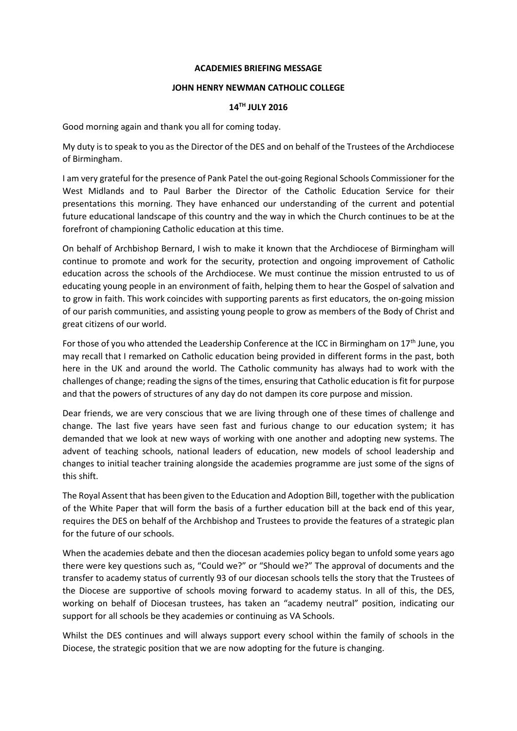#### **ACADEMIES BRIEFING MESSAGE**

# **JOHN HENRY NEWMAN CATHOLIC COLLEGE**

## **14TH JULY 2016**

Good morning again and thank you all for coming today.

My duty is to speak to you as the Director of the DES and on behalf of the Trustees of the Archdiocese of Birmingham.

I am very grateful for the presence of Pank Patel the out-going Regional Schools Commissioner for the West Midlands and to Paul Barber the Director of the Catholic Education Service for their presentations this morning. They have enhanced our understanding of the current and potential future educational landscape of this country and the way in which the Church continues to be at the forefront of championing Catholic education at this time.

On behalf of Archbishop Bernard, I wish to make it known that the Archdiocese of Birmingham will continue to promote and work for the security, protection and ongoing improvement of Catholic education across the schools of the Archdiocese. We must continue the mission entrusted to us of educating young people in an environment of faith, helping them to hear the Gospel of salvation and to grow in faith. This work coincides with supporting parents as first educators, the on-going mission of our parish communities, and assisting young people to grow as members of the Body of Christ and great citizens of our world.

For those of you who attended the Leadership Conference at the ICC in Birmingham on  $17<sup>th</sup>$  June, you may recall that I remarked on Catholic education being provided in different forms in the past, both here in the UK and around the world. The Catholic community has always had to work with the challenges of change; reading the signs of the times, ensuring that Catholic education is fit for purpose and that the powers of structures of any day do not dampen its core purpose and mission.

Dear friends, we are very conscious that we are living through one of these times of challenge and change. The last five years have seen fast and furious change to our education system; it has demanded that we look at new ways of working with one another and adopting new systems. The advent of teaching schools, national leaders of education, new models of school leadership and changes to initial teacher training alongside the academies programme are just some of the signs of this shift.

The Royal Assent that has been given to the Education and Adoption Bill, together with the publication of the White Paper that will form the basis of a further education bill at the back end of this year, requires the DES on behalf of the Archbishop and Trustees to provide the features of a strategic plan for the future of our schools.

When the academies debate and then the diocesan academies policy began to unfold some years ago there were key questions such as, "Could we?" or "Should we?" The approval of documents and the transfer to academy status of currently 93 of our diocesan schools tells the story that the Trustees of the Diocese are supportive of schools moving forward to academy status. In all of this, the DES, working on behalf of Diocesan trustees, has taken an "academy neutral" position, indicating our support for all schools be they academies or continuing as VA Schools.

Whilst the DES continues and will always support every school within the family of schools in the Diocese, the strategic position that we are now adopting for the future is changing.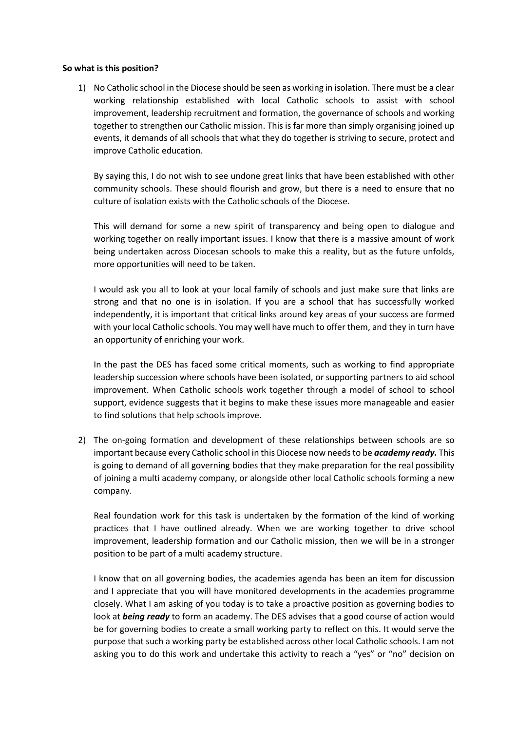## **So what is this position?**

1) No Catholic school in the Diocese should be seen as working in isolation. There must be a clear working relationship established with local Catholic schools to assist with school improvement, leadership recruitment and formation, the governance of schools and working together to strengthen our Catholic mission. This is far more than simply organising joined up events, it demands of all schools that what they do together is striving to secure, protect and improve Catholic education.

By saying this, I do not wish to see undone great links that have been established with other community schools. These should flourish and grow, but there is a need to ensure that no culture of isolation exists with the Catholic schools of the Diocese.

This will demand for some a new spirit of transparency and being open to dialogue and working together on really important issues. I know that there is a massive amount of work being undertaken across Diocesan schools to make this a reality, but as the future unfolds, more opportunities will need to be taken.

I would ask you all to look at your local family of schools and just make sure that links are strong and that no one is in isolation. If you are a school that has successfully worked independently, it is important that critical links around key areas of your success are formed with your local Catholic schools. You may well have much to offer them, and they in turn have an opportunity of enriching your work.

In the past the DES has faced some critical moments, such as working to find appropriate leadership succession where schools have been isolated, or supporting partners to aid school improvement. When Catholic schools work together through a model of school to school support, evidence suggests that it begins to make these issues more manageable and easier to find solutions that help schools improve.

2) The on-going formation and development of these relationships between schools are so important because every Catholic school in this Diocese now needs to be *academy ready.* This is going to demand of all governing bodies that they make preparation for the real possibility of joining a multi academy company, or alongside other local Catholic schools forming a new company.

Real foundation work for this task is undertaken by the formation of the kind of working practices that I have outlined already. When we are working together to drive school improvement, leadership formation and our Catholic mission, then we will be in a stronger position to be part of a multi academy structure.

I know that on all governing bodies, the academies agenda has been an item for discussion and I appreciate that you will have monitored developments in the academies programme closely. What I am asking of you today is to take a proactive position as governing bodies to look at *being ready* to form an academy. The DES advises that a good course of action would be for governing bodies to create a small working party to reflect on this. It would serve the purpose that such a working party be established across other local Catholic schools. I am not asking you to do this work and undertake this activity to reach a "yes" or "no" decision on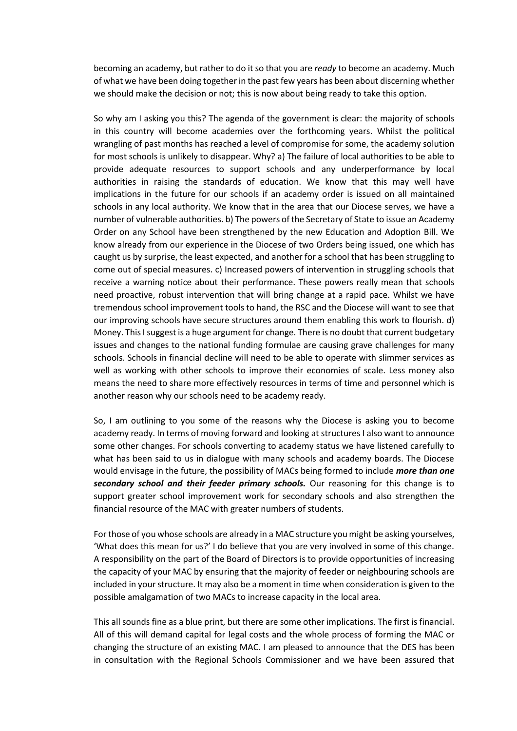becoming an academy, but rather to do it so that you are *ready* to become an academy. Much of what we have been doing together in the past few years has been about discerning whether we should make the decision or not; this is now about being ready to take this option.

So why am I asking you this? The agenda of the government is clear: the majority of schools in this country will become academies over the forthcoming years. Whilst the political wrangling of past months has reached a level of compromise for some, the academy solution for most schools is unlikely to disappear. Why? a) The failure of local authorities to be able to provide adequate resources to support schools and any underperformance by local authorities in raising the standards of education. We know that this may well have implications in the future for our schools if an academy order is issued on all maintained schools in any local authority. We know that in the area that our Diocese serves, we have a number of vulnerable authorities. b) The powers of the Secretary of State to issue an Academy Order on any School have been strengthened by the new Education and Adoption Bill. We know already from our experience in the Diocese of two Orders being issued, one which has caught us by surprise, the least expected, and another for a school that has been struggling to come out of special measures. c) Increased powers of intervention in struggling schools that receive a warning notice about their performance. These powers really mean that schools need proactive, robust intervention that will bring change at a rapid pace. Whilst we have tremendous school improvement tools to hand, the RSC and the Diocese will want to see that our improving schools have secure structures around them enabling this work to flourish. d) Money. This I suggest is a huge argument for change. There is no doubt that current budgetary issues and changes to the national funding formulae are causing grave challenges for many schools. Schools in financial decline will need to be able to operate with slimmer services as well as working with other schools to improve their economies of scale. Less money also means the need to share more effectively resources in terms of time and personnel which is another reason why our schools need to be academy ready.

So, I am outlining to you some of the reasons why the Diocese is asking you to become academy ready. In terms of moving forward and looking at structures I also want to announce some other changes. For schools converting to academy status we have listened carefully to what has been said to us in dialogue with many schools and academy boards. The Diocese would envisage in the future, the possibility of MACs being formed to include *more than one secondary school and their feeder primary schools.* Our reasoning for this change is to support greater school improvement work for secondary schools and also strengthen the financial resource of the MAC with greater numbers of students.

For those of you whose schools are already in a MAC structure you might be asking yourselves, 'What does this mean for us?' I do believe that you are very involved in some of this change. A responsibility on the part of the Board of Directors is to provide opportunities of increasing the capacity of your MAC by ensuring that the majority of feeder or neighbouring schools are included in your structure. It may also be a moment in time when consideration is given to the possible amalgamation of two MACs to increase capacity in the local area.

This all sounds fine as a blue print, but there are some other implications. The first is financial. All of this will demand capital for legal costs and the whole process of forming the MAC or changing the structure of an existing MAC. I am pleased to announce that the DES has been in consultation with the Regional Schools Commissioner and we have been assured that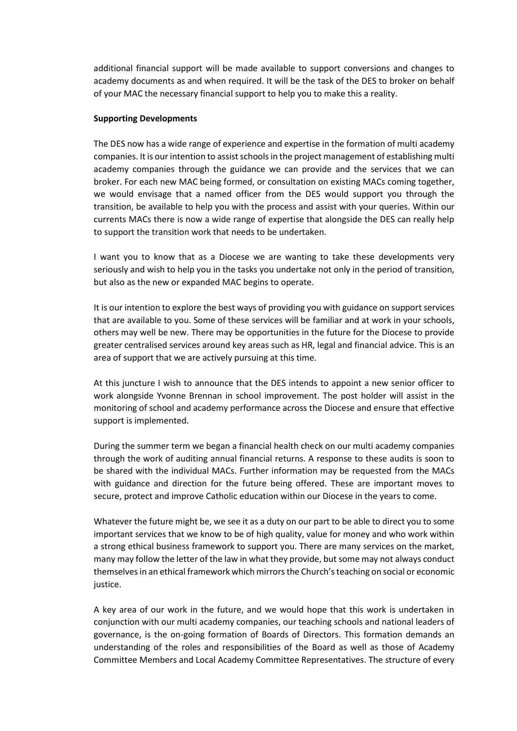additional financial support will be made available to support conversions and changes to academy documents as and when required. It will be the task of the DES to broker on behalf of your MAC the necessary financial support to help you to make this a reality.

## **Supporting Developments**

The DES now has a wide range of experience and expertise in the formation of multi academy companies. It is our intention to assist schools in the project management of establishing multi academy companies through the guidance we can provide and the services that we can broker. For each new MAC being formed, or consultation on existing MACs coming together, we would envisage that a named officer from the DES would support you through the transition, be available to help you with the process and assist with your queries. Within our currents MACs there is now a wide range of expertise that alongside the DES can really help to support the transition work that needs to be undertaken.

I want you to know that as a Diocese we are wanting to take these developments very seriously and wish to help you in the tasks you undertake not only in the period of transition, but also as the new or expanded MAC begins to operate.

It is our intention to explore the best ways of providing you with guidance on support services that are available to you. Some of these services will be familiar and at work in your schools, others may well be new. There may be opportunities in the future for the Diocese to provide greater centralised services around key areas such as HR, legal and financial advice. This is an area of support that we are actively pursuing at this time.

At this juncture I wish to announce that the DES intends to appoint a new senior officer to work alongside Yvonne Brennan in school improvement. The post holder will assist in the monitoring of school and academy performance across the Diocese and ensure that effective support is implemented.

During the summer term we began a financial health check on our multi academy companies through the work of auditing annual financial returns. A response to these audits is soon to be shared with the individual MACs. Further information may be requested from the MACs with guidance and direction for the future being offered. These are important moves to secure, protect and improve Catholic education within our Diocese in the years to come.

Whatever the future might be, we see it as a duty on our part to be able to direct you to some important services that we know to be of high quality, value for money and who work within a strong ethical business framework to support you. There are many services on the market, many may follow the letter of the law in what they provide, but some may not always conduct themselves in an ethical framework which mirrors the Church's teaching on social or economic justice.

A key area of our work in the future, and we would hope that this work is undertaken in conjunction with our multi academy companies, our teaching schools and national leaders of governance, is the on-going formation of Boards of Directors. This formation demands an understanding of the roles and responsibilities of the Board as well as those of Academy Committee Members and Local Academy Committee Representatives. The structure of every